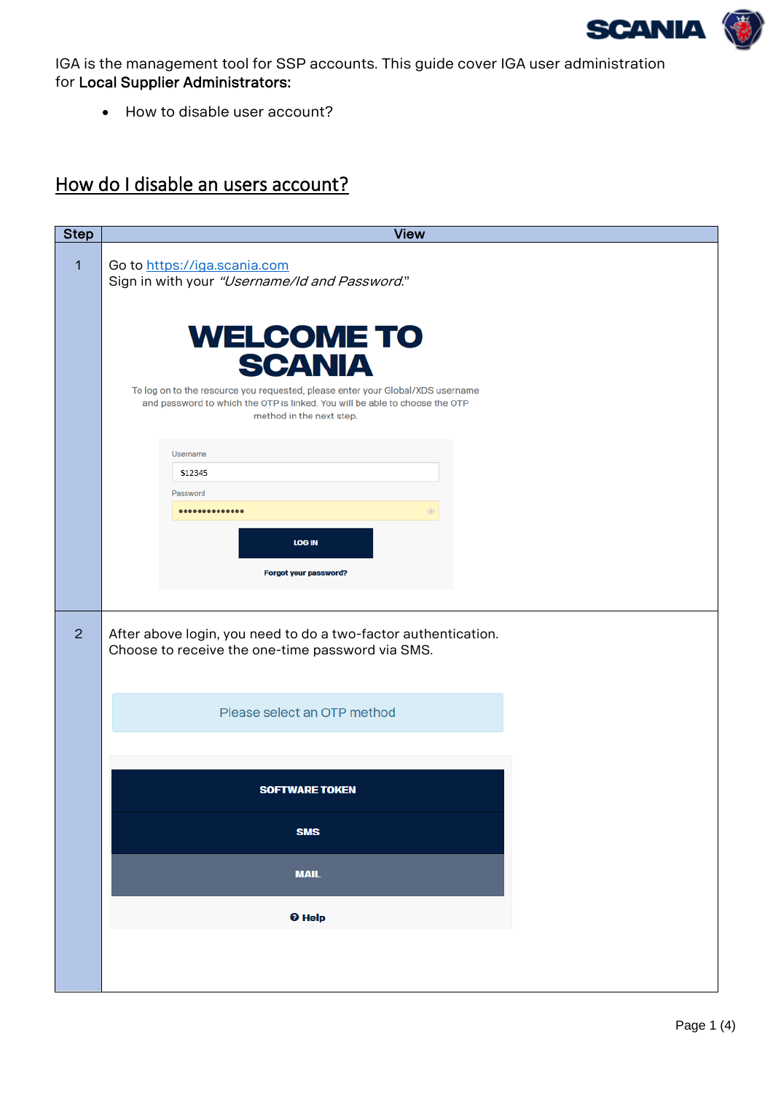

<span id="page-0-0"></span>IGA is the management tool for SSP accounts. This guide cover IGA user administration for Local Supplier Administrators:

• How to disable user account?

## How do I disable an users account?

| <b>Step</b> | <b>View</b>                                                                                                                                                                               |
|-------------|-------------------------------------------------------------------------------------------------------------------------------------------------------------------------------------------|
| $\mathbf 1$ | Go to https://iga.scania.com<br>Sign in with your "Username/Id and Password."                                                                                                             |
|             | <b>WELCOME TO</b><br><b>SCANIA</b>                                                                                                                                                        |
|             | To log on to the resource you requested, please enter your Global/XDS username<br>and password to which the OTP is linked. You will be able to choose the OTP<br>method in the next step. |
|             | Username                                                                                                                                                                                  |
|             | <b>S12345</b><br>Password                                                                                                                                                                 |
|             | <br>⊛                                                                                                                                                                                     |
|             | <b>LOG IN</b>                                                                                                                                                                             |
|             | Forgot your password?                                                                                                                                                                     |
|             |                                                                                                                                                                                           |
| 2           | After above login, you need to do a two-factor authentication.<br>Choose to receive the one-time password via SMS.                                                                        |
|             | Please select an OTP method                                                                                                                                                               |
|             |                                                                                                                                                                                           |
|             | <b>SOFTWARE TOKEN</b>                                                                                                                                                                     |
|             | <b>SMS</b>                                                                                                                                                                                |
|             | <b>MAIL</b>                                                                                                                                                                               |
|             | <sup>O</sup> Help                                                                                                                                                                         |
|             |                                                                                                                                                                                           |
|             |                                                                                                                                                                                           |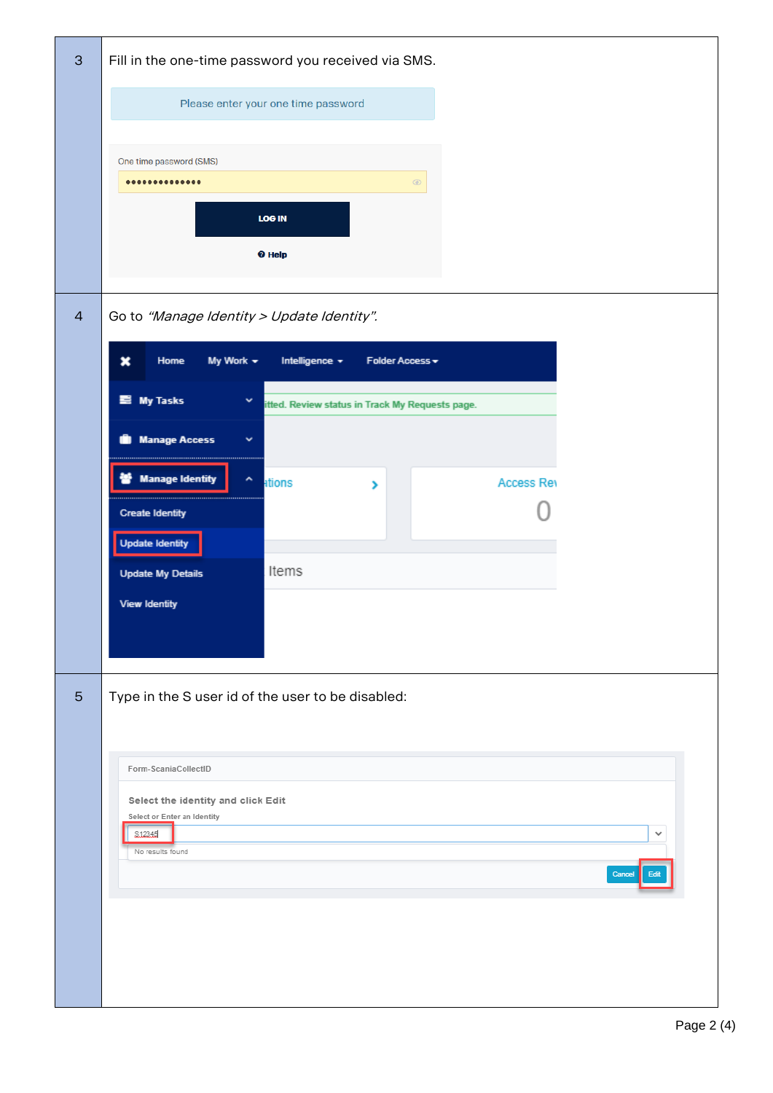| $\mathbf{3}$    | Fill in the one-time password you received via SMS.                                  |
|-----------------|--------------------------------------------------------------------------------------|
|                 | Please enter your one time password                                                  |
|                 | One time password (SMS)                                                              |
|                 | <br>$\textcircled{\footnotesize{8}}$                                                 |
|                 |                                                                                      |
|                 | <b>LOG IN</b>                                                                        |
|                 | <sup>O</sup> Help                                                                    |
|                 |                                                                                      |
| $\overline{4}$  | Go to "Manage Identity > Update Identity".                                           |
|                 | My Work $\star$<br>Home<br>Intelligence +<br>Folder Access +<br>×                    |
|                 | <b>E</b> My Tasks<br>$\checkmark$<br>itted. Review status in Track My Requests page. |
|                 | Manage Access<br>$\checkmark$                                                        |
|                 |                                                                                      |
|                 | <b>Manage Identity</b><br>۸<br>ations<br><b>Access Rev</b><br>×                      |
|                 | <b>Create Identity</b>                                                               |
|                 | <b>Update Identity</b>                                                               |
|                 | Items<br><b>Update My Details</b>                                                    |
|                 | <b>View Identity</b>                                                                 |
|                 |                                                                                      |
|                 |                                                                                      |
| $5\phantom{.0}$ | Type in the S user id of the user to be disabled:                                    |
|                 |                                                                                      |
|                 | Form-ScaniaCollectID                                                                 |
|                 | Select the identity and click Edit                                                   |
|                 | Select or Enter an Identity<br>\$12345<br>v                                          |
|                 | No results found                                                                     |
|                 | Cancel                                                                               |
|                 |                                                                                      |
|                 |                                                                                      |
|                 |                                                                                      |
|                 |                                                                                      |